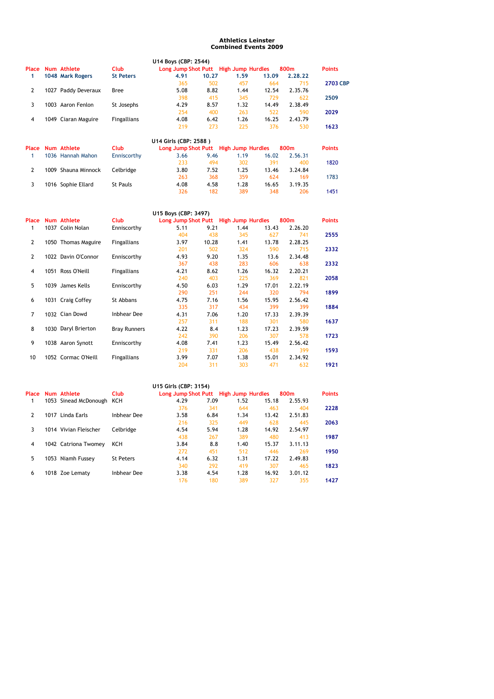## **Athletics Leinster Combined Events 2009**

 $\frac{17}{355}$  1427

340 292 419 307 465 **1823**

|                |                          |                    | U14 Boys (CBP: 2544)                  |       |      |       |         |                 |
|----------------|--------------------------|--------------------|---------------------------------------|-------|------|-------|---------|-----------------|
|                | <b>Place Num Athlete</b> | <b>Club</b>        | Long Jump Shot Putt High Jump Hurdles |       |      |       | 800m    | <b>Points</b>   |
| 1              | 1048 Mark Rogers         | <b>St Peters</b>   | 4.91                                  | 10.27 | 1.59 | 13.09 | 2.28.22 |                 |
|                |                          |                    | 365                                   | 502   | 457  | 664   | 715     | <b>2703 CBP</b> |
| $\overline{2}$ | 1027 Paddy Deveraux      | <b>Bree</b>        | 5.08                                  | 8.82  | 1.44 | 12.54 | 2.35.76 |                 |
|                |                          |                    | 398                                   | 415   | 345  | 729   | 622     | 2509            |
| 3              | 1003 Aaron Fenlon        | St Josephs         | 4.29                                  | 8.57  | 1.32 | 14.49 | 2.38.49 |                 |
|                |                          |                    | 254                                   | 400   | 263  | 522   | 590     | 2029            |
| 4              | 1049 Ciaran Maguire      | <b>Fingallians</b> | 4.08                                  | 6.42  | 1.26 | 16.25 | 2.43.79 |                 |
|                |                          |                    | 219                                   | 273   | 225  | 376   | 530     | 1623            |
|                |                          |                    | U14 Girls (CBP: 2588)                 |       |      |       |         |                 |
| Place          | Num Athlete              | <b>Club</b>        | Long Jump Shot Putt High Jump Hurdles |       |      |       | 800m    | <b>Points</b>   |
| 1              | 1036 Hannah Mahon        | Enniscorthy        | 3.66                                  | 9.46  | 1.19 | 16.02 | 2.56.31 |                 |
|                |                          |                    | 233                                   | 494   | 302  | 391   | 400     | 1820            |
| $\overline{2}$ | 1009 Shauna Minnock      | Celbridge          | 3.80                                  | 7.52  | 1.25 | 13.46 | 3.24.84 |                 |
|                |                          |                    | 263                                   | 368   | 359  | 624   | 169     | 1783            |
| 3              | 1016 Sophie Ellard       | St Pauls           | 4.08                                  | 4.58  | 1.28 | 16.65 | 3.19.35 |                 |
|                |                          |                    | 326                                   | 182   | 389  | 348   | 206     | 1451            |
|                |                          |                    | U15 Boys (CBP: 3497)                  |       |      |       |         |                 |
|                | Place Num Athlete        | <b>Club</b>        | Long Jump Shot Putt High Jump Hurdles |       |      |       | 800m    | <b>Points</b>   |
| 1              | 1037 Colin Nolan         | Enniscorthy        | 5.11                                  | 9.21  | 1.44 | 13.43 | 2.26.20 |                 |
|                |                          |                    | 404                                   | 438   | 345  | 627   | 741     | 2555            |
| $\overline{2}$ | 1050 Thomas Maguire      | Fingallians        | 3.97                                  | 10.28 | 1.41 | 13.78 | 2.28.25 |                 |
|                |                          |                    | 201                                   | 502   | 324  | 590   | 715     | 2332            |
| $\overline{2}$ | 1022 Davin O'Connor      | Enniscorthy        | 4.93                                  | 9.20  | 1.35 | 13.6  | 2.34.48 |                 |
|                |                          |                    | 367                                   | 438   | 283  | 606   | 638     | 2332            |
| 4              | 1051 Ross O'Neill        | Fingallians        | 4.21                                  | 8.62  | 1.26 | 16.32 | 2.20.21 |                 |
|                |                          |                    | 240                                   | 403   | 225  | 369   | 821     | 2058            |
| 5              | 1039 James Kells         | Enniscorthy        | 4.50                                  | 6.03  | 1.29 | 17.01 | 2.22.19 |                 |
|                |                          |                    | 290                                   | 251   | 244  | 320   | 794     | 1899            |
| 6              | 1031 Craig Coffey        | St Abbans          | 4.75                                  | 7.16  | 1.56 | 15.95 | 2.56.42 |                 |
|                |                          |                    | 335                                   | 317   | 434  | 399   | 399     | 1884            |
| 7              | 1032 Cian Dowd           | <b>Inbhear Dee</b> | 4.31                                  | 7.06  | 1.20 | 17.33 | 2.39.39 |                 |
|                |                          |                    | 257                                   | 311   | 188  | 301   | 580     | 1637            |

| 8     | 1030 Daryl Brierton   | <b>Bray Runners</b> | 4.22                                  | 8.4  | 1.23 | 17.23 | 2.39.59 |               |
|-------|-----------------------|---------------------|---------------------------------------|------|------|-------|---------|---------------|
|       |                       |                     | 242                                   | 390  | 206  | 307   | 578     | 1723          |
| 9     | 1038 Aaron Synott     | Enniscorthy         | 4.08                                  | 7.41 | 1.23 | 15.49 | 2.56.42 |               |
|       |                       |                     | 219                                   | 331  | 206  | 438   | 399     | 1593          |
| 10    | 1052 Cormac O'Neill   | Fingallians         | 3.99                                  | 7.07 | 1.38 | 15.01 | 2.34.92 |               |
|       |                       |                     | 204                                   | 311  | 303  | 471   | 632     | 1921          |
|       |                       |                     | U15 Girls (CBP: 3154)                 |      |      |       |         |               |
| Place | Num Athlete           | <b>Club</b>         | Long Jump Shot Putt High Jump Hurdles |      |      |       | 800m    | <b>Points</b> |
| 1     | 1053 Sinead McDonough | ксн                 | 4.29                                  | 7.09 | 1.52 | 15.18 | 2.55.93 |               |
|       |                       |                     | 376                                   | 341  | 644  | 463   | 404     | 2228          |
| 2     | 1017 Linda Earls      | Inbhear Dee         | 3.58                                  | 6.84 | 1.34 | 13.42 | 2.51.83 |               |
|       |                       |                     | 216                                   | 325  | 449  | 628   | 445     | 2063          |
| 3     |                       | Celbridge           | 4.54                                  | 5.94 | 1.28 | 14.92 | 2.54.97 |               |
|       | 1014 Vivian Fleischer |                     |                                       |      |      |       |         |               |
|       |                       |                     | 438                                   | 267  | 389  | 480   | 413     | 1987          |
| 4     | 1042 Catriona Twomey  | ксн                 | 3.84                                  | 8.8  | 1.40 | 15.37 | 3.11.13 |               |
|       |                       |                     | 272                                   | 451  | 512  | 446   | 269     | 1950          |

5 1053 St Peters 4.14 6.32 1.31 17.22 2.49.83 Niamh Fussey

6 1018 Zoe Lematy Inbhear Dee 3.38 4.54 1.28 16.92<br>176 180 389 327

Inbhear Dee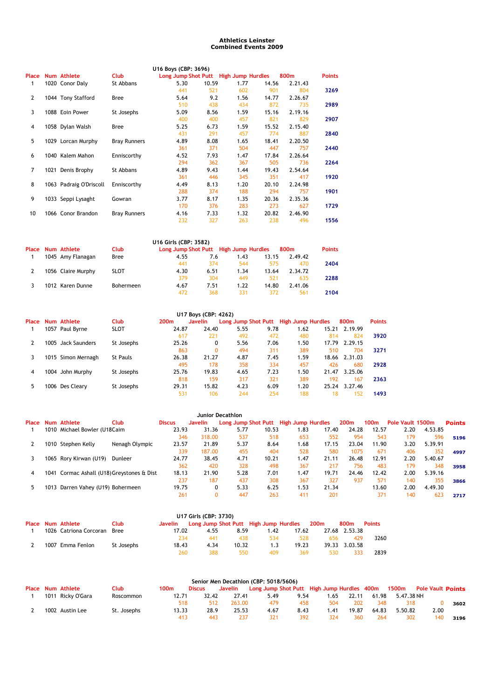## **Athletics Leinster Combined Events 2009**

|                |                         |                     | U16 Boys (CBP: 3696)                  |       |      |       |         |               |
|----------------|-------------------------|---------------------|---------------------------------------|-------|------|-------|---------|---------------|
| Place          | Num Athlete             | <b>Club</b>         | Long Jump Shot Putt High Jump Hurdles |       |      |       | 800m    | <b>Points</b> |
| 1              | 1020 Conor Daly         | St Abbans           | 5.30                                  | 10.59 | 1.77 | 14.56 | 2.21.43 |               |
|                |                         |                     | 441                                   | 521   | 602  | 901   | 804     | 3269          |
| $\overline{2}$ | 1044 Tony Stafford      | Bree                | 5.64                                  | 9.2   | 1.56 | 14.77 | 2.26.67 |               |
|                |                         |                     | 510                                   | 438   | 434  | 872   | 735     | 2989          |
| 3              | 1088 Eoin Power         | St Josephs          | 5.09                                  | 8.56  | 1.59 | 15.16 | 2.19.16 |               |
|                |                         |                     | 400                                   | 400   | 457  | 821   | 829     | 2907          |
| 4              | 1058 Dylan Walsh        | Bree                | 5.25                                  | 6.73  | 1.59 | 15.52 | 2.15.40 |               |
|                |                         |                     | 431                                   | 291   | 457  | 774   | 887     | 2840          |
| 5.             | 1029 Lorcan Murphy      | <b>Bray Runners</b> | 4.89                                  | 8.08  | 1.65 | 18.41 | 2.20.50 |               |
|                |                         |                     | 361                                   | 371   | 504  | 447   | 757     | 2440          |
| 6              | 1040 Kalem Mahon        | Enniscorthy         | 4.52                                  | 7.93  | 1.47 | 17.84 | 2.26.64 |               |
|                |                         |                     | 294                                   | 362   | 367  | 505   | 736     | 2264          |
| 7              | 1021 Denis Brophy       | St Abbans           | 4.89                                  | 9.43  | 1.44 | 19.43 | 2.54.64 |               |
|                |                         |                     | 361                                   | 446   | 345  | 351   | 417     | 1920          |
| 8              | 1063 Padraig O'Driscoll | Enniscorthy         | 4.49                                  | 8.13  | 1.20 | 20.10 | 2.24.98 |               |
|                |                         |                     | 288                                   | 374   | 188  | 294   | 757     | 1901          |
| 9              | 1033 Seppi Lysaght      | Gowran              | 3.77                                  | 8.17  | 1.35 | 20.36 | 2.35.36 |               |
|                |                         |                     | 170                                   | 376   | 283  | 273   | 627     | 1729          |
| 10             | 1066 Conor Brandon      | <b>Bray Runners</b> | 4.16                                  | 7.33  | 1.32 | 20.82 | 2.46.90 |               |
|                |                         |                     | 232                                   | 327   | 263  | 238   | 496     | 1556          |
|                |                         |                     |                                       |       |      |       |         |               |

|       |                    |             | U16 Girls (CBP: 3582)                 |      |      |       |         |               |
|-------|--------------------|-------------|---------------------------------------|------|------|-------|---------|---------------|
| Place | Num Athlete        | <b>Club</b> | Long Jump Shot Putt High Jump Hurdles |      |      |       | 800m    | <b>Points</b> |
|       | 1045 Amy Flanagan  | Bree        | 4.55                                  | 7.6  | 1.43 | 13.15 | 2.49.42 |               |
|       |                    |             | 441                                   | 374  | 544  | 575   | 470     | 2404          |
|       | 1056 Claire Murphy | <b>SLOT</b> | 4.30                                  | 6.51 | 1.34 | 13.64 | 2.34.72 |               |
|       |                    |             | 379                                   | 304  | 449  | 521   | 635     | 2288          |
|       | 1012 Karen Dunne   | Bohermeen   | 4.67                                  | 7.51 | 1.22 | 14.80 | 2.41.06 |               |
|       |                    |             | 472                                   | 368  | 331  | 372   | 561     | 2104          |

| U17 Boys (CBP: 4262) |  |                    |             |                  |                |      |      |                                       |       |               |               |
|----------------------|--|--------------------|-------------|------------------|----------------|------|------|---------------------------------------|-------|---------------|---------------|
| Place                |  | Num Athlete        | Club        | 200 <sub>m</sub> | <b>Javelin</b> |      |      | Long Jump Shot Putt High Jump Hurdles |       | 800m          | <b>Points</b> |
|                      |  | 1057 Paul Byrne    | <b>SLOT</b> | 24.87            | 24.40          | 5.55 | 9.78 | 1.62                                  |       | 15.21 2.19.99 |               |
|                      |  |                    |             | 617              | 221            | 492  | 472  | 480                                   | 814   | 824           | 3920          |
|                      |  | 1005 Jack Saunders | St Josephs  | 25.26            | 0              | 5.56 | 7.06 | 1.50                                  | 17.79 | 2.29.15       |               |
|                      |  |                    |             | 863              | $\Omega$       | 494  | 311  | 389                                   | 510   | 704           | 3271          |
|                      |  | 1015 Simon Mernagh | St Pauls    | 26.38            | 21.27          | 4.87 | 7.45 | 1.59                                  |       | 18.66 2.31.03 |               |
|                      |  |                    |             | 495              | 178            | 358  | 334  | 457                                   | 426   | 680           | 2928          |
| 4                    |  | 1004 John Murphy   | St Josephs  | 25.76            | 19.83          | 4.65 | 7.23 | 1.50                                  | 21.47 | 3.25.06       |               |
|                      |  |                    |             | 818              | 159            | 317  | 321  | 389                                   | 192   | 167           | 2363          |
|                      |  | 1006 Des Cleary    | St Josephs  | 29.31            | 15.82          | 4.23 | 6.09 | 1.20                                  | 25.24 | 3.27.46       |               |
|                      |  |                    |             | 531              | 106            | 244  | 254  | 188                                   | 18    | 152           | 1493          |

|              | Junior Decathlon |                                       |                |               |                |                                       |       |        |       |                  |       |                  |         |               |
|--------------|------------------|---------------------------------------|----------------|---------------|----------------|---------------------------------------|-------|--------|-------|------------------|-------|------------------|---------|---------------|
| <b>Place</b> |                  | Num Athlete                           | Club           | <b>Discus</b> | <b>Javelin</b> | Long Jump Shot Putt High Jump Hurdles |       |        |       | 200 <sub>m</sub> | 100m  | Pole Vault 1500m |         | <b>Points</b> |
|              | 1010             | Michael Bowler (U18Caim               |                | 23.93         | 31.36          | 5.77                                  | 10.53 | . . 83 | 17.40 | 24.28            | 12.57 | 2.20             | 4.53.85 |               |
|              |                  |                                       |                | 346           | 318.00         | 537                                   | 518   | 653    | 552   | 954              | 543   | 179              | 596     | 5196          |
|              |                  | 1010 Stephen Kelly                    | Nenagh Olympic | 23.57         | 21.89          | 5.37                                  | 8.64  | . . 68 | 17.15 | 23.04            | 11.90 | 3.20             | 5.39.91 |               |
|              |                  |                                       |                | 339           | 187.00         | 455                                   | 404   | 528    | 580   | 1075             | 671   | 406              | 352     | 4997          |
|              |                  | 1065 Rory Kirwan (U19)                | Dunleer        | 24.77         | 38.45          | 4.71                                  | 10.21 | .47    | 21.11 | 26.48            | 12.91 | 2.20             | 5.40.67 |               |
|              |                  |                                       |                | 362           | 420            | 328                                   | 498   | 367    | 217   | 756              | 483   | 179              | 348     | 3958          |
| 4            | 1041             | Cormac Ashall (U18) Greystones & Dist |                | 18.13         | 21.90          | 5.28                                  | 7.01  | 1.47   | 19.71 | 24.46            | 12.42 | 2.00             | 5.39.16 |               |
|              |                  |                                       |                | 237           | 187            | 437                                   | 308   | 367    | 327   | 937              | 571   | 140              | 355     | 3866          |
|              | 1013             | Darren Vahey (U19) Bohermeen          |                | 19.75         | 0              | 5.33                                  | 6.25  | .53    | 21.34 |                  | 13.60 | 2.00             | 4.49.30 |               |
|              |                  |                                       |                | 261           | 0              | 447                                   | 263   | 411    | 201   |                  | 371   | 140              | 623     | 2717          |

| U17 Girls (CBP: 3730) |  |                             |             |         |      |       |                                       |       |      |               |               |
|-----------------------|--|-----------------------------|-------------|---------|------|-------|---------------------------------------|-------|------|---------------|---------------|
|                       |  | Place Num Athlete           | <b>Club</b> | Javelin |      |       | Long Jump Shot Putt High Jump Hurdles |       | 200m | 800m          | <b>Points</b> |
|                       |  | 1026 Catriona Corcoran Bree |             | 17.02   | 4.55 | 8.59  | 1.42                                  | 17.62 |      | 27.68 2.53.38 |               |
|                       |  |                             |             | 234     | 441  | 438.  | 534                                   | 528   | 656  | 429           | 3260          |
|                       |  | 1007 Emma Fenlon            | St Josephs  | 18.43   | 4.34 | 10.32 | 1.3                                   | 19.23 |      | 39.33 3.03.58 |               |
|                       |  |                             |             | 260     | 388  | 550.  | 409                                   | 369   | 530  | 333           | 2839          |

|  |                   |             |       |               |         | Senior Men Decathlon (CBP: 5018/5606)      |      |      |       |       |            |      |                          |
|--|-------------------|-------------|-------|---------------|---------|--------------------------------------------|------|------|-------|-------|------------|------|--------------------------|
|  | Place Num Athlete | Club        | 100m  | <b>Discus</b> | Javelin | Long Jump Shot Putt High Jump Hurdles 400m |      |      |       |       | 1500m      |      | <b>Pole Vault Points</b> |
|  | 1011 Ricky O'Gara | Roscommon   | 12.71 | 32.42         | 27.41   | 5.49                                       | 9.54 | .65  | 22.11 | 61.98 | 5.47.38 NH |      |                          |
|  |                   |             | 518   | 512           | 263.00  | 479                                        | 458  | 504  | 202   | 348   | 318        |      | 3602                     |
|  | 1002 Austin Lee   | St. Josephs | 13.33 | 28.9          | 25.53   | 4.67                                       | 8.43 | 1.41 | 19.87 | 64.83 | 5.50.82    | 2.00 |                          |
|  |                   |             | 413   | 443           | 237     | 321                                        | 392  | 324  | 360   | 264   | 302        | 140  | 3196                     |